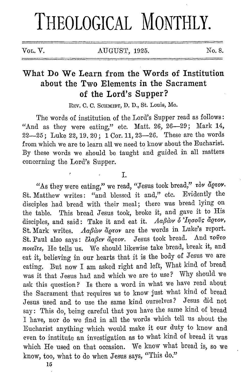## **THEOLOGICAL MONTHLY.**

VOL. V. MOGUST, 1925. No. 8.

## **What Do We Learn from the Words of Institution about the Two Elements in the Sacrament of the Lord's Supper?**

REV. C. C. SCHMIDT, D. D., St. Louis, Mo.

'fhe words of institution of the Lord's Supper read as follows: "And as they were eating," etc. Matt. 26, 26-29; Mark 14, 22-25; Luke 22, 19. 20; 1 Cor. 11, 23-26. These are the words from which we are to learn all we need to know about the Eucharist. By these words we should be taught and guided in all matters concerning the Lord's Supper.

I.

"As they were eating," we read, "Jesus took bread," rov aprov. St. Matthew writes: "and blessed it and," etc. Evidently the disciples had bread with their meal; there was bread lying on the table. 'fhis bread Jesus took, broke it, and gave it to His disciples, and said: Take it and eat it.  $A\alpha\beta\dot{\omega}r$  o *Inoovs deror*, St. Mark writes. *Aaßdov dorov* are the words in Luke's report. St. Paul also says: *Elaßev agrov.* Jesus took bread. And *rovro note"iu,* He tells us. We should likewise take bread, break it, and eat it, believing in our hearts that it is the body of Jesus we are eating. But now I am asked right and left, What kind of bread was it that Jesus had and which we are to use? Why should we ask this question? Is there a word in what we have read about the Sacrament that requires us to know just what kind of bread Jesus used and to use the same kind ourselves? Jesus did not say: This do, being careful that you have the same kind of bread I have, nor do we find in all the words which tell us about the Eucharist anything which would make it our duty to know and even to institute an investigation as to what kind of bread it was which He used on that occasion. We know what bread is, so we know, too, what to do when Jesus says, "This do."

**16**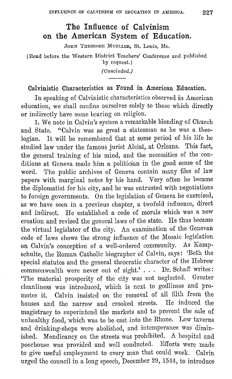## **The Influence of Calvinism on the American System of Education.**

JOHN THEODORE MUELLER, St. Louis, Mo.

(Read before the Western District Teachers' Conference and published by request.)

(Concluded.)

## Calvinistic Characteristics as Found in American Education.

In speaking of Calvinistic characteristics observed in American education, we shall confine ourselves solely to those which directly or indirectly have some bearing on religion.

1. We note in Calvin's system a remarkable blending of Church and State. "Calvin was as great a statesman as he was a theologian. It will be remembered that at some period of his life he studied law under the famous jurist Alciat, at Orleans. This fact, the general training of his mind, and the necessities of the conditions at Geneva made him a politician in the good sense of the word. 'l'he public archives of Geneva contain many files of law papers with marginal notes by his hand. Very often he became the diplomatist for his city, and he was entrusted with negotiations to foreign governments. On the legislation of Geneva he exercised, as we have seen in a previous chapter, a twofold influence, direct and indirect. He established a code of morals which was a new creation and revised the general laws of the state. He thus became the virtual legislator of the city. An examination of the Genevan code of laws shows the strong influence of the Mosaic legislation on Calvin's conception of a well-ordered community. As Kampschulte, the Roman Catholic biographer of Calvin, says: 'Both the special statutes and the general theocratic character of the Hebrew commonwealth were never out of sight.' . . . Dr. Schaff writes: 'The material prosperity of the city was not neglected. Greater cleanliness was introduced, which is next to godliness and promotes it. Calvin insisted on the removal of all filth from the houses and the narrow and crooked streets. He induced the magistracy to superintend the markets and to prevent the sale of unhealthy food, which was to be cast into the Rhone. Low taverns and drinking-shops were abolished, and intemperance was diminished. Mendicancy on the streets was prohibited. A hospital and poorhouse was provided and well conducted. Efforts were made to give useful employment to every man that could work. Calvin urged the council in a long speech, December 29, 1544, to introduce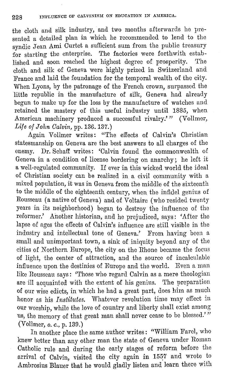the cloth and silk industry, and two months afterwards he presented a detailed plan in which he recommended to lend to the syndic Jean Ami Curtet a sufficient sum from the public treasury for starting the enterprise. The factories were forthwith established and soon reached the highest degree of prosperity. The cloth and silk of Geneva were highly prized in Switzerland and France and laid the foundation for the temporal wealth of the city. When Lyons, by the patronage of the French crown, surpassed the little republic in the manufacture of silk, Geneva had already begun to make up for the loss by the manufacture of watches and retained the mastery of this useful industry until 1885, when American machinery produced a successful rivalry.'" (Vollmer, *Life of John Galvin,* pp.136.137.)

Again Vollmer writes: "The effects of Calvin's Christian statesmanship on Geneva are the best answers to all charges of the enemy. Dr. Schaff writes: 'Calvin found the commonwealth of Geneva in a condition of license bordering on anarchy; he left it a well-regulated community. If ever in this wicked world the ideal of Christian society can be realized in a civil community with a mixed population, it was in Geneva from the middle of the sixteenth to the middle of the eighteenth century, when the infidel genius of Rousseau (a native of Geneva) and of Voltaire (who resided twenty years in its neighborhood) began to destroy the influence of the reformer.' Another historian, and he prejudiced, says: 'After the lapse of ages the effects of Calvin's influence are still visible in the industry and intellectual tone of Geneva.' From having been a small and unimportant town, a sink of iniquity beyond any of the cities of Northern Europe, the city on the Rhone became the focus of light, the center of attraction, and the source of incalculable influence upon the destinies of Europe and the world. Even a man like Rousseau says: 'Those who regard Calvin as a mere theologian are ill acquainted with the extent of his genius. The preparation of our wise edicts, in which he had a great part, does him as much honor as his *Institutes.* Whatever revolution time may effect in our worship, while the love of country and liberty shall exist among us, the memory of that great man shall never cease to be blessed.'" (Vollmer, *o. c.*, p. 139.)

In another place the same author writes: "William Farcl, who knew better than any other man the state of Geneva under Roman Catholic rule and during the early stages of reform before the arrival of Calvin, visited the city again in  $155\%$  and wrote to Ambrosius Blauer that he would gladly listen and learn there with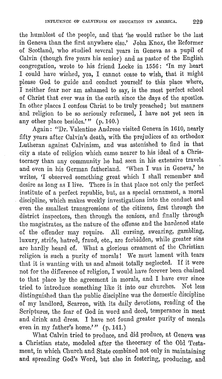the humblest of the people, and that 'he would rather be the last in Geneva than the first anywhere else.' John Knox, the Reformer of Scotland, who studied several years in Geneva as a pupil of Calvin (though five years his senior) and as pastor of the English congregation, wrote to his friend Locke in 1556 : 'In my heart I could have wished, yea, I cannot cease to wish, that it might please God to guide and conduct yourself to this place where, I neither fear nor am ashamed to say, is the most perfect school of Christ that ever was in the earth since the days of the apostles. In other places I confess Christ to be truly preached; but manners and religion to be so seriously reformed, I have not yet seen in any other place besides.""  $(p. 140.)$ 

Again: "Dr. Valentine Andreae visited Geneva in 1610, nearly fifty years after Calvin's death, with the prejudices of an orthodox Lutheran against Calvinism, and was astonished to find in that city a state of religion which came nearer to his ideal of a Christocracy than any community he had seen in his extensive travels and even in his German fatherland. 'When I was in Geneva,' he writes, 'I observed something great which I shall remember and desire as long as I live. There is in that place not only the perfect institute of a perfect republic, but, as a special ornament, a moral discipline, which makes weekly investigations into the conduct and even the smallest transgressions of the citizens, first through the district inspectors, then through the seniors, and finally through the magistrates, as the nature of the offense and the hardened state of the offender may require. All cursing, swearing, gambling, luxury, strife, hatred, fraud, etc., are forbidden, while greater sins arc hardly heard **of.** What a glorious ornament of the Christian religion is such a purity of morals! We must lament with tears that it is wanting with us and almost totally neglected. If it were not for the difference of religion, I would have forever been chained to that place by the agreement in morals, and I have ever since tried to introduce something like it into our churches. Not less distinguished than the public discipline was the domestic discipline of my landlord, Scarron, with its daily devotions, reading of the Scriptures, the fear of God in word and deed, temperance in meat and drink and dress. I have not found greater purity of morals even in my father's home."" (p. 141.)

What Calvin tried to produce, and did produce, at Geneva was a Christian state, modeled after the theocracy of the Old Testament, in which Church and State combined not only in maintaining and spreading God's Word, but also in fostering, producing, and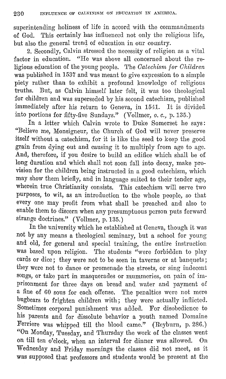superintending holiness of life in accord with the commandments of God. This certainly has influenced not only the religious life, but also the general trend of education in our country.

2. Secondly, Calvin stressed the necessity of religion as a vital factor in education. "He was above all concerned about the religious education of the young people. 'l'he *Catechism for Children*  was published in 1537 and was meant to give expression to a simple piety rather than to exhibit a profound knowledge of religious truths. But, as Calvin himself later felt, it was too theological for children and was superseded by his second catechism, published immediately after his return to Geneva, in 1541. It is divided into portions for fifty-five Sundays." (Vollmer, *o. c.,* p. 135.)

In a letter which Calvin wrote to Duke Somerset he says: "Believe me, Monsigneur, the Church of God will never preserve itself without a catechism, for it is like the seed to keep the good grain from dying out and causing it to multiply from age to age. And, therefore, if you desire to build an edifice which shall be of long duration and which shall not soon fall into decay, make provision for the children being instructed in a good catechism, which may show them briefly, and in language suited to their tender age, wherein true Christianity consists. This catechism will serve two purposes, to wit, as an introduction to the whole people, so that every one may profit from what shall be preached and also to enable them to discern when any presumptuous person puts forward strange doctrines." (Vollmer, p. 135.)

In the university which he established at Geneva, though it was not by any means a theological seminary, but a school for young and old, for general and special training, the entire instruction was based upon religion. The students "were forbidden to play cards or dice; they were not to be seen in taverns or at banquets; they were not to dance or promenade the streets, or sing indecent songs, or take part in masquerades or mummeries, on pain of imprisonment for three days on bread and water and payment of a fine of 60 sous for each offense. The penalties were not mere bugbears to frighten children with; they were actually inflicted. Sometimes corporal punishment was added. For disobedience to his parents and for dissolute behavior a youth named Domaine Ferriere was whipped till the blood came." (Heyburn, p. 286.) "On Monday, Tuesday, and 'l'hursday the work of the classes went on till ten o'clock, when an interval for dinner was allowed. On Wednesday and Friday mornings the classes did not meet, as it was supposed that professors and students would be present at the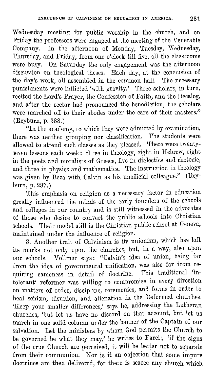Wednesday meeting for public worship in the church, and on Friday the professors were engaged at the meeting of the Venerable Company. In the afternoon of Monday, Tuesday, Wednesday, 'l'hursday, and Friday, from one o'clock till five, all the classrooms were busy. On Saturday the only engagement was the afternoon discussion on theological theses. Each day, at the conclusion of the day's work, all assembled in the common hall. The necessary punishments were inflicted 'with gravity.' Three scholars, in turn, recited the Lord's Prayer, the Confession of Faith, and the Decalog, and after the rector had pronounced the benediction, the scholars were marched off to their abodes under the care of their masters." (Reyburn, p. 288.)

"In the academy, to which they were admitted by examination, there was neither grouping nor classification. The students were allowed to attend such classes as they pleased. There were twentyseven lessons each week: three in theology, eight in Hebrew, eight in the poets and moralists of Greece, five in dialectics and rhetoric, and three in physics and mathematics. The instruction in theology was given by Beza with Calvin as his unofficial colleague." (Reyburn, p. 287.)

This emphasis on religion as a necessary factor in education greatly influenced the minds of the early founders of the schools and colleges in our country and is still witnessed in the advocates of those who desire to convert the public schools into Christian schools. Their model still is the Christian public school at Geneva, maintained under the influence of religion.

3. Another trait of Calvinism is its unionism, which has left its marks not only upon the churches, but, in a way, also upon our schools. Vollmer says: "Calvin's idea of union, being far from the idea of governmental unification, was also far from requiring sameness in detail of doctrine. This traditional 'intolerant' reformer was willing to compromise in every direction on matters of order, discipline, ceremonies, and forms in order to heal schism, disunion, and alienation in the Reformed churches. 'Keep your smaller differences,' says he, addressing the Lutheran churches, 'but let us have no discord on that account, but let us march in one solid column under the banner of the Captain of our salvation. Let the ministers by whom God permits the Church to be governed be what they may,' he writes to Farel; 'if the signs of the true Church are perceived, it will be better not to separate from their communion. Nor is it an objection that some impure doctrines are then delivered, for there is scarce any church which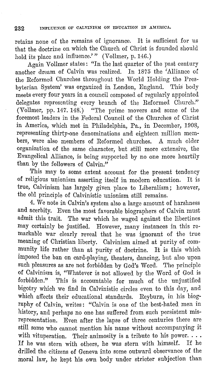retains none of the remains of ignorance. It is sufficient for us that the doctrine on which the Church of Christ is founded should hold its place and influence.'" (Vollmer, p. 146.)

Again Vollmer states: "In tho last quarter of the past century another dream of Calvin was realized. In 1875 the 'Alliance of the Reformed Churches throughout the World Holding the Presbyterian System' was organized in London, England. 'l'his body meets every four years in a council composed of regularly appointed delegates representing every branch of the Reformed Church." (Vollmer, pp. 147. 148:) "The prime movers and some of the foremost leaders in the Federal Council of the Churches of Christ in America, which met in Philadelphia, Pa., in December, 1908, representing thirty-one denominations and eighteen million members, were also members of Reformed churches. A much older organization of the same character, but still more extensive, the Evangelical Alliance, is being supported by no one more heartily than by the followers of Calvin."

This may to some extent account for the present tendency of religious unionism assorting itself in modern education. It is true, Calvinism has largely given place to Liberalism; however, the old principle of Calvinistic unionism still remains.

4. We note in Calvin's system also a large amount of harshness and acerbity. Even the most favorable biographers of Calvin must admit this trait. The war which he waged against the libertines may certainly be justified. However, many instances in this remarkable war clearly reveal that he was ignorant of the true meaning of Christian liberty. Calvinism aimed at purity of community life rather than at purity of doctrine. It is this which imposed the ban on card-playing, theaters, dancing, but also upon such pleasures as are not forbidden by God's Word. The principle of Calvinism is, "Whatever is not allowed by the Word of God is forbidden." This is accountable for much of the unjustified bigotry which we find in Calvinistic circles even to this day, and which affects their educational standards. Reyburn, in his biography of Calvin, writes: "Calvin is one of the best-hated men in history, and perhaps no one has suffered from such persistent misrepresentation. Even after the lapse of three centuries there are still some who cannot mention his name without accompanying it with vituperation. Their animosity is a tribute to his power.... If he was stern with others, he was stern with himself. If he drilled the citizens of Geneva into some outward observance of the moral law, he kept his own body under stricter subjection than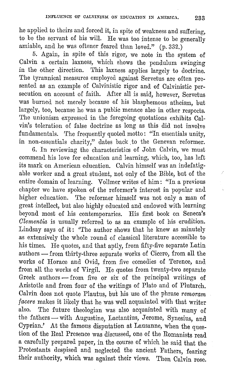he applied to theirs and forced it, in spite of weakness and suffering, to be the servant of his will. He was too intense to be generally amiable, and he was oftener feared than loved." (p. 332.)

5. Again, in spite of this rigor, we note in the system of Calvin a certain laxness, which shows the pendulum swinging in the other direction. This laxness applies largely to doctrine. The tyrannical measures employed against Servetus are often presented as an example of Calvinistic rigor and of Calvinistic persecution on account of faith. After all is said, however, Servetus was burned not merely because of his blasphemous atheism, but largely, too, because he was a public menace also in other respects. The unionism expressed in the foregoing quotations exhibits Calvin's toleration of false doctrine as long as this did not involve fundamentals. The frequently quoted motto: "In essentials unity, in non-essentials charity," dates back . to the Genevan reformer.

6. In reviewing the characteristics of John Calvin, we must commend his love for education and learning, which, too, has left its mark on American education. Calvin himself was an indefatigable worker and a great student, not only of the Bible, but of the entire domain of learning. Vollmer writes of him: "In a previous chapter we have spoken of the reformer's interest in popular and higher education. The reformer himself was not only a man of great intellect, but also highly educated and endowed with learning beyond most of his contemporaries. His first book on Seneca's *Clementia* is usually referred to as an example of his erudition. Lindsay says of it: "The author shows that he knew as minutely as extensively the whole round of classical literature accessible to his times. He quotes, and that aptly, from fifty-five separate Latin authors - from thirty-three separate works of Cicero, from all the works of Horace and Ovid, from five comedies of Terence, and from all the works of Virgil. He quotes from twenty-two separate Greek authors - from five or six of the principal writings of Aristotle and from four of the writings of Plato and of Plutarch. Calvin does not quote Plautus, but his use of the phrase *remoram facere* makes it likely that he was well acquainted with that writer also. The future theologian was also acquainted with many of The future theologian was also acquainted with many of the fathers — with Augustine, Lactantius, Jerome, Synesius, and Cyprian.' At the famous disputation at Lausanne, when the question of the Real Presence was discussed, one of the Romanists read a carefully prepared paper, in the course of which he said that the Protestants despised and neglected the ancient Fathers, fearing their authority, which was against their views. Then Calvin rose.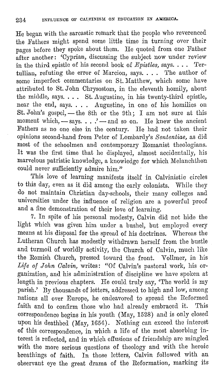He began with the sarcastic remark that the people who reverenced the Fathers might spend some little time in turning over their pages before they spoke about them. He quoted from one Father after another: 'Cyprian, discussing the subject now under review in the third epistle of his second book of *Epistles*, says. . . . Tertullian, refuting the error of Marcion, says. . . . The author of some imperfect commentaries on St. Matthew, which some have attributed to St. John Chrysostom, in the eleventh homily, about the middle, says. . . . St. Augustine, in his twenty-third epistle, near the end, says. . . . Augustine, in one of his homilies on St. John's gospel, - the 8th or the 9th; I am not sure at this moment which,  $-$  says.  $\ldots$   $\cdot$   $-$  and so on. He knew the ancient Fathers as no one else in the century. He had not taken their opinions second-hand from Peter of Lombardy's *Sententiae,* as did most of the schoolmen and contemporary Romanist theologians. It was the first time that he displayed, almost accidentally, his marvelous patristic knowledge, a knowledge for which Melanchthon could never sufficiently admire him."

'fhis love of learning manifests itself in Calvinistic circles to this day, even as it did among the early colonists. While they do not maintain Christian day-schools, their many colleges and universities under the influence of religion are a powerful proof and a fine demonstration of their love of learning.

7. In spite of his personal modesty, Calvin did not hide the light which was given him under a bushel, but employed every means at his disposal for the spread of his doctrines. Whereas the Lutheran Church has modestly withdrawn herself from the bustle and turmoil of worldly activity, the Church of Calvin, much like the Romish Church, pressed toward the front. Vollmer, in his *Life of John Calvin,* writes: "Of Calvin's pastoral work, his organization, and his administration of discipline we have spoken at length in previous chapters. He could truly say, 'The world is my parish.' By thousands of letters, addressed to high and low, among nations all over Europe, he endeavored to spread the Reformed faith and to confirm those who had already embraced it. This correspondence begins in his youth (May, 1528) and is only closed upon his deathbed (May, 1654). Nothing can exceed the interest of this correspondence, in which a life of the most absorbing interest is reflected, and in which effusions of friendship are mingled with the more serious questions of theology and with the heroic breathings of faith. In those letters, Calvin followed with an observant eye the great drama of the Reformation, marking its